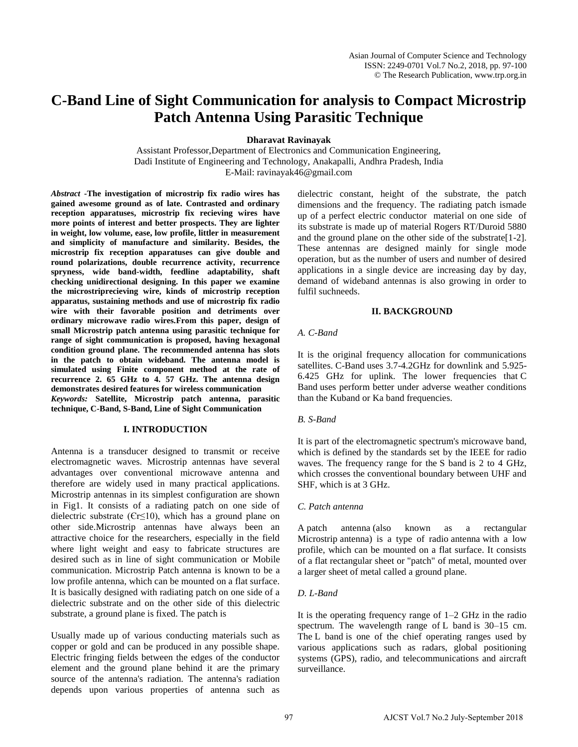# **C-Band Line of Sight Communication for analysis to Compact Microstrip Patch Antenna Using Parasitic Technique**

**Dharavat Ravinayak** 

Assistant Professor,Department of Electronics and Communication Engineering, Dadi Institute of Engineering and Technology, Anakapalli, Andhra Pradesh, India E-Mail: ravinayak46@gmail.com

*Abstract* **-The investigation of microstrip fix radio wires has gained awesome ground as of late. Contrasted and ordinary reception apparatuses, microstrip fix recieving wires have more points of interest and better prospects. They are lighter in weight, low volume, ease, low profile, littler in measurement and simplicity of manufacture and similarity. Besides, the microstrip fix reception apparatuses can give double and round polarizations, double recurrence activity, recurrence spryness, wide band-width, feedline adaptability, shaft checking unidirectional designing. In this paper we examine the microstriprecieving wire, kinds of microstrip reception apparatus, sustaining methods and use of microstrip fix radio wire with their favorable position and detriments over ordinary microwave radio wires.From this paper, design of small Microstrip patch antenna using parasitic technique for range of sight communication is proposed, having hexagonal condition ground plane. The recommended antenna has slots in the patch to obtain wideband. The antenna model is simulated using Finite component method at the rate of recurrence 2. 65 GHz to 4. 57 GHz. The antenna design demonstrates desired features for wireless communication**  *Keywords:* **Satellite, Microstrip patch antenna, parasitic technique, C-Band, S-Band, Line of Sight Communication**

## **I. INTRODUCTION**

Antenna is a transducer designed to transmit or receive electromagnetic waves. Microstrip antennas have several advantages over conventional microwave antenna and therefore are widely used in many practical applications. Microstrip antennas in its simplest configuration are shown in Fig1. It consists of a radiating patch on one side of dielectric substrate (Єr≤10), which has a ground plane on other side.Microstrip antennas have always been an attractive choice for the researchers, especially in the field where light weight and easy to fabricate structures are desired such as in line of sight communication or Mobile communication. Microstrip Patch antenna is known to be a low profile antenna, which can be mounted on a flat surface. It is basically designed with radiating patch on one side of a dielectric substrate and on the other side of this dielectric substrate, a ground plane is fixed. The patch is

Usually made up of various conducting materials such as copper or gold and can be produced in any possible shape. Electric fringing fields between the edges of the conductor element and the ground plane behind it are the primary source of the antenna's radiation. The antenna's radiation depends upon various properties of antenna such as dielectric constant, height of the substrate, the patch dimensions and the frequency. The radiating patch ismade up of a perfect electric conductor material on one side of its substrate is made up of material Rogers RT/Duroid 5880 and the ground plane on the other side of the substrate[1-2]. These antennas are designed mainly for single mode operation, but as the number of users and number of desired applications in a single device are increasing day by day, demand of wideband antennas is also growing in order to fulfil suchneeds.

## **II. BACKGROUND**

## *A. C-Band*

It is the original frequency allocation for communications satellites. C-Band uses 3.7-4.2GHz for downlink and 5.925- 6.425 GHz for uplink. The lower frequencies that C Band uses perform better under adverse weather conditions than the Kuband or Ka band frequencies.

## *B. S-Band*

It is part of the electromagnetic spectrum's microwave band, which is defined by the standards set by the IEEE for radio waves. The frequency range for the S band is 2 to 4 GHz, which crosses the conventional boundary between UHF and SHF, which is at 3 GHz.

## *C. Patch antenna*

A patch antenna (also known as a rectangular Microstrip antenna) is a type of radio antenna with a low profile, which can be mounted on a flat surface. It consists of a flat rectangular sheet or "patch" of metal, mounted over a larger sheet of metal called a ground plane.

## *D. L-Band*

It is the operating frequency range of 1–2 GHz in the radio spectrum. The wavelength range of L band is 30–15 cm. The L band is one of the chief operating ranges used by various applications such as radars, global positioning systems (GPS), radio, and telecommunications and aircraft surveillance.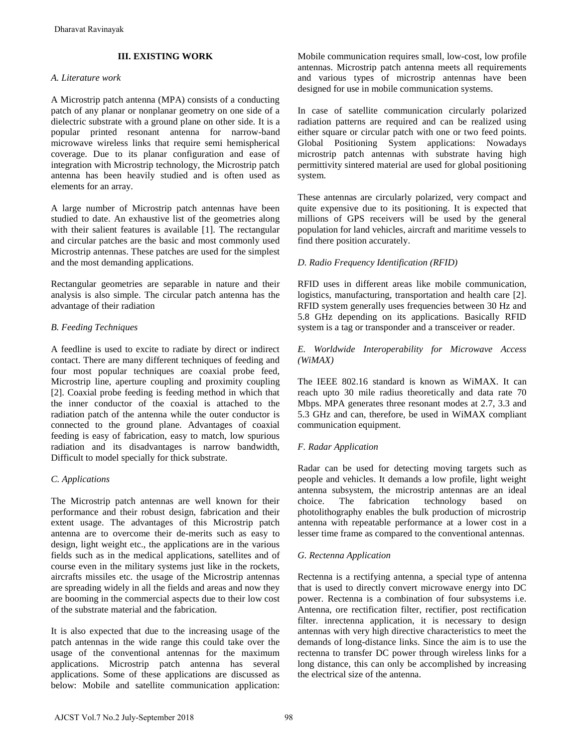# **III. EXISTING WORK**

## *A. Literature work*

A Microstrip patch antenna (MPA) consists of a conducting patch of any planar or nonplanar geometry on one side of a dielectric substrate with a ground plane on other side. It is a popular printed resonant antenna for narrow-band microwave wireless links that require semi hemispherical coverage. Due to its planar configuration and ease of integration with Microstrip technology, the Microstrip patch antenna has been heavily studied and is often used as elements for an array.

A large number of Microstrip patch antennas have been studied to date. An exhaustive list of the geometries along with their salient features is available [1]. The rectangular and circular patches are the basic and most commonly used Microstrip antennas. These patches are used for the simplest and the most demanding applications.

Rectangular geometries are separable in nature and their analysis is also simple. The circular patch antenna has the advantage of their radiation

# *B. Feeding Techniques*

A feedline is used to excite to radiate by direct or indirect contact. There are many different techniques of feeding and four most popular techniques are coaxial probe feed, Microstrip line, aperture coupling and proximity coupling [2]. Coaxial probe feeding is feeding method in which that the inner conductor of the coaxial is attached to the radiation patch of the antenna while the outer conductor is connected to the ground plane. Advantages of coaxial feeding is easy of fabrication, easy to match, low spurious radiation and its disadvantages is narrow bandwidth, Difficult to model specially for thick substrate. Dharavat Ravinayak<br>
III. EXISTING WORK<br>
LAIcrature work<br>
LAIcrature work<br>
LAIcrature work<br>
LAICratic gubern pattal antisms (MPA) consists of a conducting<br>
distic-ric substrate with a ground plunca on onlors side. It is a<br>

## *C. Applications*

The Microstrip patch antennas are well known for their performance and their robust design, fabrication and their extent usage. The advantages of this Microstrip patch antenna are to overcome their de-merits such as easy to design, light weight etc., the applications are in the various fields such as in the medical applications, satellites and of course even in the military systems just like in the rockets, aircrafts missiles etc. the usage of the Microstrip antennas are spreading widely in all the fields and areas and now they are booming in the commercial aspects due to their low cost of the substrate material and the fabrication.

It is also expected that due to the increasing usage of the patch antennas in the wide range this could take over the usage of the conventional antennas for the maximum applications. Microstrip patch antenna has several applications. Some of these applications are discussed as below: Mobile and satellite communication application: Mobile communication requires small, low-cost, low profile antennas. Microstrip patch antenna meets all requirements and various types of microstrip antennas have been designed for use in mobile communication systems.

In case of satellite communication circularly polarized radiation patterns are required and can be realized using either square or circular patch with one or two feed points. Global Positioning System applications: Nowadays microstrip patch antennas with substrate having high permittivity sintered material are used for global positioning system.

These antennas are circularly polarized, very compact and quite expensive due to its positioning. It is expected that millions of GPS receivers will be used by the general population for land vehicles, aircraft and maritime vessels to find there position accurately.

# *D. Radio Frequency Identification (RFID)*

RFID uses in different areas like mobile communication, logistics, manufacturing, transportation and health care [2]. RFID system generally uses frequencies between 30 Hz and 5.8 GHz depending on its applications. Basically RFID system is a tag or transponder and a transceiver or reader.

## *E. Worldwide Interoperability for Microwave Access (WiMAX)*

The IEEE 802.16 standard is known as WiMAX. It can reach upto 30 mile radius theoretically and data rate 70 Mbps. MPA generates three resonant modes at 2.7, 3.3 and 5.3 GHz and can, therefore, be used in WiMAX compliant communication equipment.

## *F. Radar Application*

Radar can be used for detecting moving targets such as people and vehicles. It demands a low profile, light weight antenna subsystem, the microstrip antennas are an ideal choice. The fabrication technology based on photolithography enables the bulk production of microstrip antenna with repeatable performance at a lower cost in a lesser time frame as compared to the conventional antennas.

## *G. Rectenna Application*

Rectenna is a rectifying antenna, a special type of antenna that is used to directly convert microwave energy into DC power. Rectenna is a combination of four subsystems i.e. Antenna, ore rectification filter, rectifier, post rectification filter. inrectenna application, it is necessary to design antennas with very high directive characteristics to meet the demands of long-distance links. Since the aim is to use the rectenna to transfer DC power through wireless links for a long distance, this can only be accomplished by increasing the electrical size of the antenna.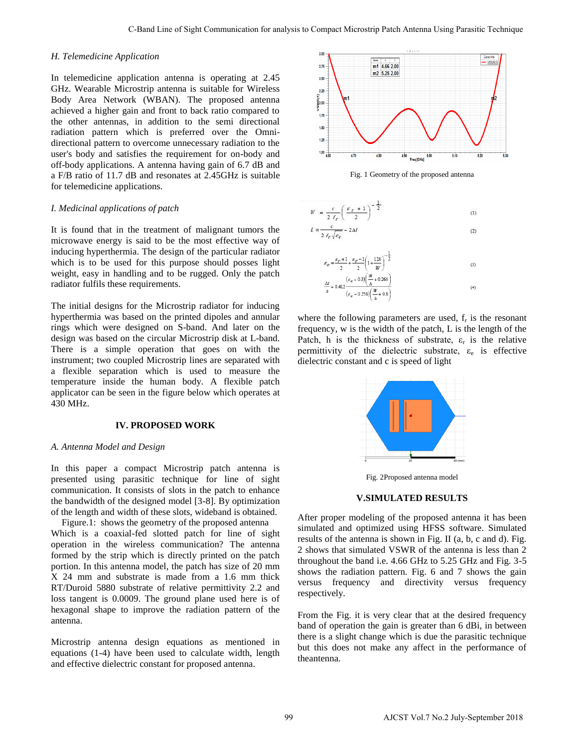#### *H. Telemedicine Application*

In telemedicine application antenna is operating at 2.45 GHz. Wearable Microstrip antenna is suitable for Wireless Body Area Network (WBAN). The proposed antenna achieved a higher gain and front to back ratio compared to the other antennas, in addition to the semi directional radiation pattern which is preferred over the Omnidirectional pattern to overcome unnecessary radiation to the user's body and satisfies the requirement for on-body and off-body applications. A antenna having gain of 6.7 dB and a F/B ratio of 11.7 dB and resonates at 2.45GHz is suitable for telemedicine applications.

#### *I. Medicinal applications of patch*

It is found that in the treatment of malignant tumors the microwave energy is said to be the most effective way of inducing hyperthermia. The design of the particular radiator which is to be used for this purpose should posses light weight, easy in handling and to be rugged. Only the patch radiator fulfils these requirements.

The initial designs for the Microstrip radiator for inducing hyperthermia was based on the printed dipoles and annular rings which were designed on S-band. And later on the design was based on the circular Microstrip disk at L-band. There is a simple operation that goes on with the instrument; two coupled Microstrip lines are separated with a flexible separation which is used to measure the temperature inside the human body. A flexible patch applicator can be seen in the figure below which operates at 430 MHz.

## **IV. PROPOSED WORK**

#### *A. Antenna Model and Design*

In this paper a compact Microstrip patch antenna is presented using parasitic technique for line of sight communication. It consists of slots in the patch to enhance the bandwidth of the designed model [3-8]. By optimization of the length and width of these slots, wideband is obtained.

Figure.1: shows the geometry of the proposed antenna Which is a coaxial-fed slotted patch for line of sight operation in the wireless communication? The antenna formed by the strip which is directly printed on the patch portion. In this antenna model, the patch has size of 20 mm X 24 mm and substrate is made from a 1.6 mm thick RT/Duroid 5880 substrate of relative permittivity 2.2 and loss tangent is 0.0009. The ground plane used here is of hexagonal shape to improve the radiation pattern of the antenna.

Microstrip antenna design equations as mentioned in equations (1-4) have been used to calculate width, length and effective dielectric constant for proposed antenna.



Fig. 1 Geometry of the proposed antenna





where the following parameters are used,  $f_r$  is the resonant frequency, w is the width of the patch, L is the length of the Patch, h is the thickness of substrate,  $\varepsilon_r$  is the relative permittivity of the dielectric substrate,  $\varepsilon_e$  is effective dielectric constant and c is speed of light



Fig. 2Proposed antenna model

#### **V.SIMULATED RESULTS**

After proper modeling of the proposed antenna it has been simulated and optimized using HFSS software. Simulated results of the antenna is shown in Fig. II (a, b, c and d). Fig. 2 shows that simulated VSWR of the antenna is less than 2 throughout the band i.e. 4.66 GHz to 5.25 GHz and Fig. 3-5 shows the radiation pattern. Fig. 6 and 7 shows the gain versus frequency and directivity versus frequency respectively.

From the Fig. it is very clear that at the desired frequency band of operation the gain is greater than 6 dBi, in between there is a slight change which is due the parasitic technique but this does not make any affect in the performance of theantenna.